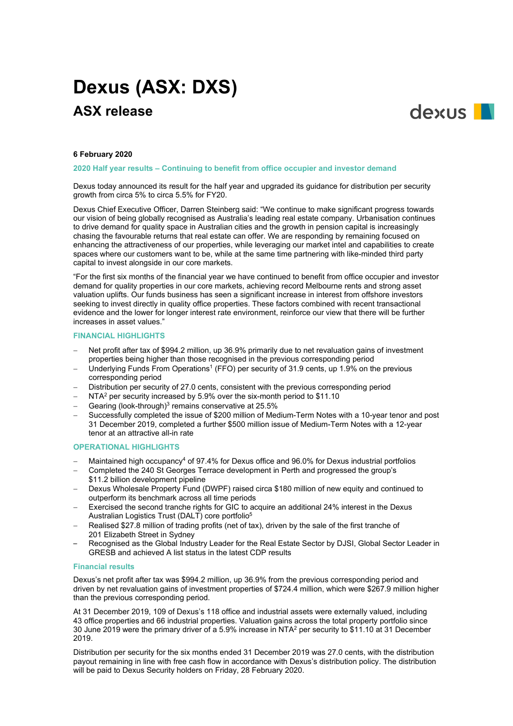# **Dexus (ASX: DXS) ASX release**



## **6 February 2020**

**2020 Half year results – Continuing to benefit from office occupier and investor demand** 

Dexus today announced its result for the half year and upgraded its guidance for distribution per security growth from circa 5% to circa 5.5% for FY20.

Dexus Chief Executive Officer, Darren Steinberg said: "We continue to make significant progress towards our vision of being globally recognised as Australia's leading real estate company. Urbanisation continues to drive demand for quality space in Australian cities and the growth in pension capital is increasingly chasing the favourable returns that real estate can offer. We are responding by remaining focused on enhancing the attractiveness of our properties, while leveraging our market intel and capabilities to create spaces where our customers want to be, while at the same time partnering with like-minded third party capital to invest alongside in our core markets.

"For the first six months of the financial year we have continued to benefit from office occupier and investor demand for quality properties in our core markets, achieving record Melbourne rents and strong asset valuation uplifts. Our funds business has seen a significant increase in interest from offshore investors seeking to invest directly in quality office properties. These factors combined with recent transactional evidence and the lower for longer interest rate environment, reinforce our view that there will be further increases in asset values."

# **FINANCIAL HIGHLIGHTS**

- Net profit after tax of \$994.2 million, up 36.9% primarily due to net revaluation gains of investment properties being higher than those recognised in the previous corresponding period
- Underlying Funds From Operations<sup>1</sup> (FFO) per security of 31.9 cents, up 1.9% on the previous corresponding period
- − Distribution per security of 27.0 cents, consistent with the previous corresponding period
- − NTA2 per security increased by 5.9% over the six-month period to \$11.10
- Gearing (look-through)<sup>3</sup> remains conservative at 25.5%
- − Successfully completed the issue of \$200 million of Medium-Term Notes with a 10-year tenor and post 31 December 2019, completed a further \$500 million issue of Medium-Term Notes with a 12-year tenor at an attractive all-in rate

# **OPERATIONAL HIGHLIGHTS**

- − Maintained high occupancy4 of 97.4% for Dexus office and 96.0% for Dexus industrial portfolios
- − Completed the 240 St Georges Terrace development in Perth and progressed the group's \$11.2 billion development pipeline
- − Dexus Wholesale Property Fund (DWPF) raised circa \$180 million of new equity and continued to outperform its benchmark across all time periods
- Exercised the second tranche rights for GIC to acquire an additional 24% interest in the Dexus Australian Logistics Trust (DALT) core portfolio5
- − Realised \$27.8 million of trading profits (net of tax), driven by the sale of the first tranche of 201 Elizabeth Street in Sydney
- Recognised as the Global Industry Leader for the Real Estate Sector by DJSI, Global Sector Leader in GRESB and achieved A list status in the latest CDP results

## **Financial results**

Dexus's net profit after tax was \$994.2 million, up 36.9% from the previous corresponding period and driven by net revaluation gains of investment properties of \$724.4 million, which were \$267.9 million higher than the previous corresponding period.

At 31 December 2019, 109 of Dexus's 118 office and industrial assets were externally valued, including 43 office properties and 66 industrial properties. Valuation gains across the total property portfolio since 30 June 2019 were the primary driver of a 5.9% increase in NTA2 per security to \$11.10 at 31 December 2019.

Distribution per security for the six months ended 31 December 2019 was 27.0 cents, with the distribution payout remaining in line with free cash flow in accordance with Dexus's distribution policy. The distribution will be paid to Dexus Security holders on Friday, 28 February 2020.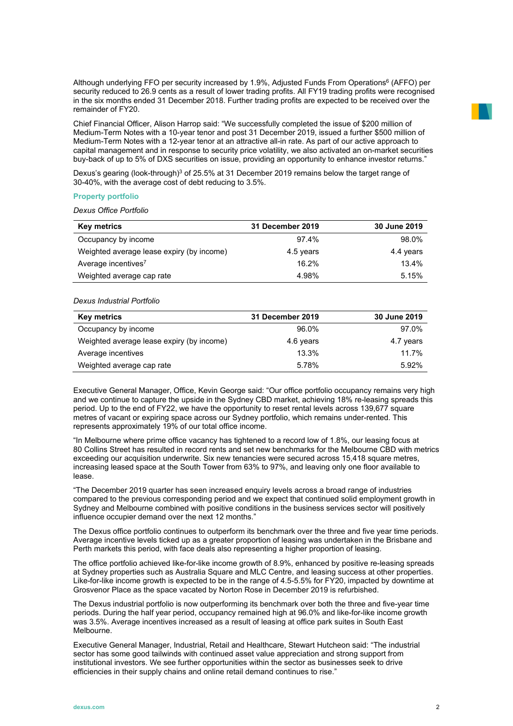Although underlying FFO per security increased by 1.9%. Adjusted Funds From Operations<sup>6</sup> (AFFO) per security reduced to 26.9 cents as a result of lower trading profits. All FY19 trading profits were recognised in the six months ended 31 December 2018. Further trading profits are expected to be received over the remainder of FY20.

Chief Financial Officer, Alison Harrop said: "We successfully completed the issue of \$200 million of Medium-Term Notes with a 10-year tenor and post 31 December 2019, issued a further \$500 million of Medium-Term Notes with a 12-year tenor at an attractive all-in rate. As part of our active approach to capital management and in response to security price volatility, we also activated an on-market securities buy-back of up to 5% of DXS securities on issue, providing an opportunity to enhance investor returns."

Dexus's gearing (look-through)<sup>3</sup> of 25.5% at 31 December 2019 remains below the target range of 30-40%, with the average cost of debt reducing to 3.5%.

# **Property portfolio**

*Dexus Office Portfolio*

| <b>Key metrics</b>                        | 31 December 2019 | 30 June 2019 |
|-------------------------------------------|------------------|--------------|
| Occupancy by income                       | 97.4%            | 98.0%        |
| Weighted average lease expiry (by income) | 4.5 years        | 4.4 years    |
| Average incentives <sup>7</sup>           | 16.2%            | 13.4%        |
| Weighted average cap rate                 | 4.98%            | 5.15%        |

# *Dexus Industrial Portfolio*

| <b>Key metrics</b>                        | 31 December 2019 | 30 June 2019 |
|-------------------------------------------|------------------|--------------|
| Occupancy by income                       | 96.0%            | 97.0%        |
| Weighted average lease expiry (by income) | 4.6 years        | 4.7 years    |
| Average incentives                        | 13.3%            | 11.7%        |
| Weighted average cap rate                 | 5.78%            | 5.92%        |

Executive General Manager, Office, Kevin George said: "Our office portfolio occupancy remains very high and we continue to capture the upside in the Sydney CBD market, achieving 18% re-leasing spreads this period. Up to the end of FY22, we have the opportunity to reset rental levels across 139,677 square metres of vacant or expiring space across our Sydney portfolio, which remains under-rented. This represents approximately 19% of our total office income.

"In Melbourne where prime office vacancy has tightened to a record low of 1.8%, our leasing focus at 80 Collins Street has resulted in record rents and set new benchmarks for the Melbourne CBD with metrics exceeding our acquisition underwrite. Six new tenancies were secured across 15,418 square metres, increasing leased space at the South Tower from 63% to 97%, and leaving only one floor available to lease.

"The December 2019 quarter has seen increased enquiry levels across a broad range of industries compared to the previous corresponding period and we expect that continued solid employment growth in Sydney and Melbourne combined with positive conditions in the business services sector will positively influence occupier demand over the next 12 months."

The Dexus office portfolio continues to outperform its benchmark over the three and five year time periods. Average incentive levels ticked up as a greater proportion of leasing was undertaken in the Brisbane and Perth markets this period, with face deals also representing a higher proportion of leasing.

The office portfolio achieved like-for-like income growth of 8.9%, enhanced by positive re-leasing spreads at Sydney properties such as Australia Square and MLC Centre, and leasing success at other properties. Like-for-like income growth is expected to be in the range of 4.5-5.5% for FY20, impacted by downtime at Grosvenor Place as the space vacated by Norton Rose in December 2019 is refurbished.

The Dexus industrial portfolio is now outperforming its benchmark over both the three and five-year time periods. During the half year period, occupancy remained high at 96.0% and like-for-like income growth was 3.5%. Average incentives increased as a result of leasing at office park suites in South East Melbourne.

Executive General Manager, Industrial, Retail and Healthcare, Stewart Hutcheon said: "The industrial sector has some good tailwinds with continued asset value appreciation and strong support from institutional investors. We see further opportunities within the sector as businesses seek to drive efficiencies in their supply chains and online retail demand continues to rise."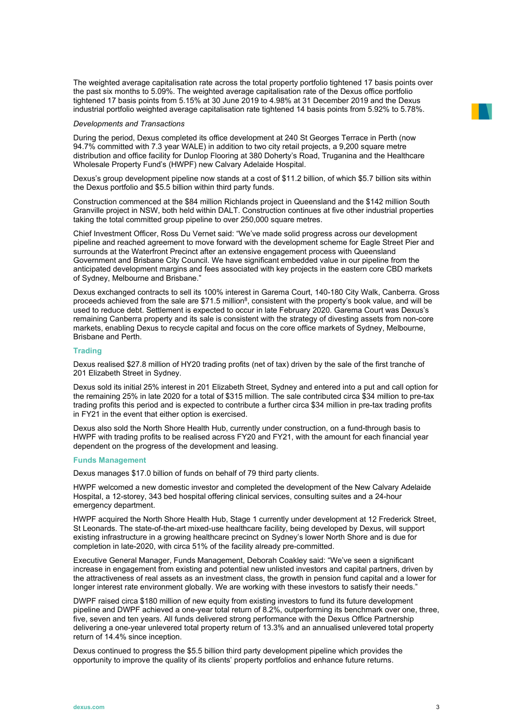The weighted average capitalisation rate across the total property portfolio tightened 17 basis points over the past six months to 5.09%. The weighted average capitalisation rate of the Dexus office portfolio tightened 17 basis points from 5.15% at 30 June 2019 to 4.98% at 31 December 2019 and the Dexus industrial portfolio weighted average capitalisation rate tightened 14 basis points from 5.92% to 5.78%.

#### *Developments and Transactions*

During the period, Dexus completed its office development at 240 St Georges Terrace in Perth (now 94.7% committed with 7.3 year WALE) in addition to two city retail projects, a 9,200 square metre distribution and office facility for Dunlop Flooring at 380 Doherty's Road, Truganina and the Healthcare Wholesale Property Fund's (HWPF) new Calvary Adelaide Hospital.

Dexus's group development pipeline now stands at a cost of \$11.2 billion, of which \$5.7 billion sits within the Dexus portfolio and \$5.5 billion within third party funds.

Construction commenced at the \$84 million Richlands project in Queensland and the \$142 million South Granville project in NSW, both held within DALT. Construction continues at five other industrial properties taking the total committed group pipeline to over 250,000 square metres.

Chief Investment Officer, Ross Du Vernet said: "We've made solid progress across our development pipeline and reached agreement to move forward with the development scheme for Eagle Street Pier and surrounds at the Waterfront Precinct after an extensive engagement process with Queensland Government and Brisbane City Council. We have significant embedded value in our pipeline from the anticipated development margins and fees associated with key projects in the eastern core CBD markets of Sydney, Melbourne and Brisbane."

Dexus exchanged contracts to sell its 100% interest in Garema Court, 140-180 City Walk, Canberra. Gross proceeds achieved from the sale are \$71.5 million<sup>8</sup>, consistent with the property's book value, and will be used to reduce debt. Settlement is expected to occur in late February 2020. Garema Court was Dexus's remaining Canberra property and its sale is consistent with the strategy of divesting assets from non-core markets, enabling Dexus to recycle capital and focus on the core office markets of Sydney, Melbourne, Brisbane and Perth.

#### **Trading**

Dexus realised \$27.8 million of HY20 trading profits (net of tax) driven by the sale of the first tranche of 201 Elizabeth Street in Sydney.

Dexus sold its initial 25% interest in 201 Elizabeth Street, Sydney and entered into a put and call option for the remaining 25% in late 2020 for a total of \$315 million. The sale contributed circa \$34 million to pre-tax trading profits this period and is expected to contribute a further circa \$34 million in pre-tax trading profits in FY21 in the event that either option is exercised.

Dexus also sold the North Shore Health Hub, currently under construction, on a fund-through basis to HWPF with trading profits to be realised across FY20 and FY21, with the amount for each financial year dependent on the progress of the development and leasing.

## **Funds Management**

Dexus manages \$17.0 billion of funds on behalf of 79 third party clients.

HWPF welcomed a new domestic investor and completed the development of the New Calvary Adelaide Hospital, a 12-storey, 343 bed hospital offering clinical services, consulting suites and a 24-hour emergency department.

HWPF acquired the North Shore Health Hub, Stage 1 currently under development at 12 Frederick Street, St Leonards. The state-of-the-art mixed-use healthcare facility, being developed by Dexus, will support existing infrastructure in a growing healthcare precinct on Sydney's lower North Shore and is due for completion in late-2020, with circa 51% of the facility already pre-committed.

Executive General Manager, Funds Management, Deborah Coakley said: "We've seen a significant increase in engagement from existing and potential new unlisted investors and capital partners, driven by the attractiveness of real assets as an investment class, the growth in pension fund capital and a lower for longer interest rate environment globally. We are working with these investors to satisfy their needs."

DWPF raised circa \$180 million of new equity from existing investors to fund its future development pipeline and DWPF achieved a one-year total return of 8.2%, outperforming its benchmark over one, three, five, seven and ten years. All funds delivered strong performance with the Dexus Office Partnership delivering a one-year unlevered total property return of 13.3% and an annualised unlevered total property return of 14.4% since inception.

Dexus continued to progress the \$5.5 billion third party development pipeline which provides the opportunity to improve the quality of its clients' property portfolios and enhance future returns.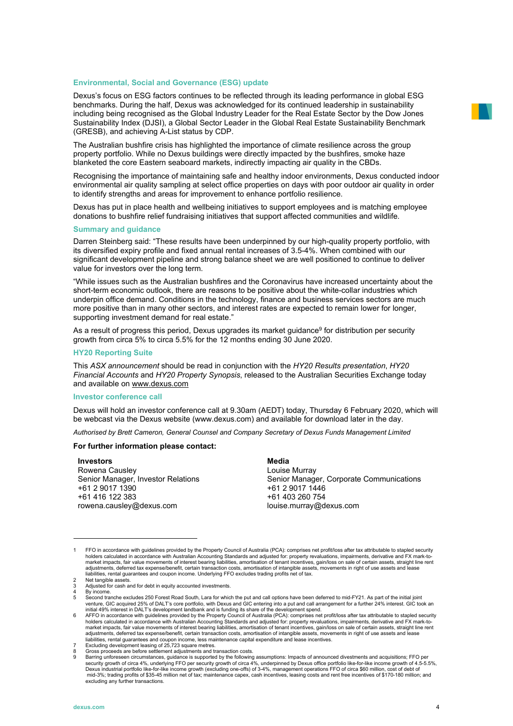## **Environmental, Social and Governance (ESG) update**

Dexus's focus on ESG factors continues to be reflected through its leading performance in global ESG benchmarks. During the half, Dexus was acknowledged for its continued leadership in sustainability including being recognised as the Global Industry Leader for the Real Estate Sector by the Dow Jones Sustainability Index (DJSI), a Global Sector Leader in the Global Real Estate Sustainability Benchmark (GRESB), and achieving A-List status by CDP.

The Australian bushfire crisis has highlighted the importance of climate resilience across the group property portfolio. While no Dexus buildings were directly impacted by the bushfires, smoke haze blanketed the core Eastern seaboard markets, indirectly impacting air quality in the CBDs.

Recognising the importance of maintaining safe and healthy indoor environments, Dexus conducted indoor environmental air quality sampling at select office properties on days with poor outdoor air quality in order to identify strengths and areas for improvement to enhance portfolio resilience.

Dexus has put in place health and wellbeing initiatives to support employees and is matching employee donations to bushfire relief fundraising initiatives that support affected communities and wildlife.

#### **Summary and guidance**

Darren Steinberg said: "These results have been underpinned by our high-quality property portfolio, with its diversified expiry profile and fixed annual rental increases of 3.5-4%. When combined with our significant development pipeline and strong balance sheet we are well positioned to continue to deliver value for investors over the long term.

"While issues such as the Australian bushfires and the Coronavirus have increased uncertainty about the short-term economic outlook, there are reasons to be positive about the white-collar industries which underpin office demand. Conditions in the technology, finance and business services sectors are much more positive than in many other sectors, and interest rates are expected to remain lower for longer, supporting investment demand for real estate."

As a result of progress this period, Dexus upgrades its market guidance<sup>9</sup> for distribution per security growth from circa 5% to circa 5.5% for the 12 months ending 30 June 2020.

## **HY20 Reporting Suite**

This *ASX announcement* should be read in conjunction with the *HY20 Results presentation*, *HY20 Financial Accounts* and *HY20 Property Synopsis*, released to the Australian Securities Exchange today and available on [www.dexus.com](http://www.dexus.com/)

## **Investor conference call**

Dexus will hold an investor conference call at 9.30am (AEDT) today, Thursday 6 February 2020, which will be webcast via the Dexus website (www.dexus.com) and available for download later in the day.

*Authorised by Brett Cameron, General Counsel and Company Secretary of Dexus Funds Management Limited*

#### **For further information please contact:**

**Investors**  Rowena Causley Senior Manager, Investor Relations +61 2 9017 1390 +61 416 122 383 rowena.causley@dexus.com

**Media** Louise Murray Senior Manager, Corporate Communications +61 2 9017 1446 +61 403 260 754 [louise.murray@dexus.com](mailto:louise.murray@dexus.com)

<sup>1</sup> FFO in accordance with guidelines provided by the Property Council of Australia (PCA): comprises net profit/loss after tax attributable to stapled security holders calculated in accordance with Australian Accounting Standards and adjusted for: property revaluations, impairments, derivative and FX mark-to-<br>market impacts, fair value movements of interest bearing liabilities, a adjustments, deferred tax expense/benefit, certain transaction costs, amortisation of intangible assets, movements in right of use assets and lease<br>liabilities, rental guarantees and coupon income. Underlying FFO excludes 2 Net tangible assets.

Adjusted for cash and for debt in equity accounted investments.

<sup>4</sup> By income.<br>5 Second tra

<sup>5</sup> Second tranche excludes 250 Forest Road South, Lara for which the put and call options have been deferred to mid-FY21. As part of the initial joint

venture, GIC acquired 25% of DALT's core portfolio, with Dexus and GIC entering into a put and call arrangement for a further 24% interest. GIC took an<br>initial 49% interest in DALT's development landbank and is funding its market impacts, fair value movements of interest bearing liabilities, amortisation of tenant incentives, gain/loss on sale of certain assets, straight line rent<br>adjustments, deferred tax expense/benefit, certain transactio

<sup>7</sup> Excluding development leasing of 25,723 square metres. 8 Gross proceeds are before settlement adjustments and transaction costs.

Barring unforeseen circumstances, guidance is supported by the following assumptions: Impacts of announced divestments and acquisitions; FFO per<br>Security growth of circa 4% underlying FFO per security growth of circa 4%, excluding any further transactions.